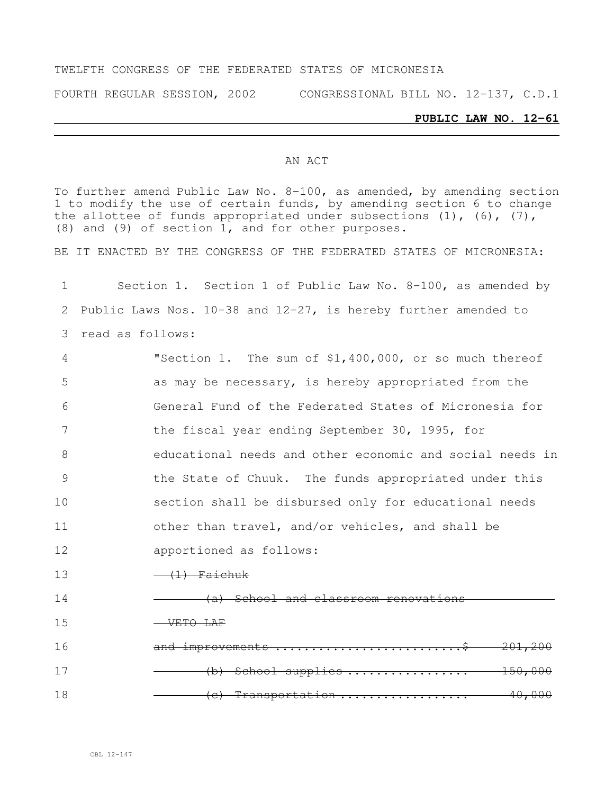#### TWELFTH CONGRESS OF THE FEDERATED STATES OF MICRONESIA

FOURTH REGULAR SESSION, 2002 CONGRESSIONAL BILL NO. 12-137, C.D.1

#### **PUBLIC LAW NO. 12-61**

#### AN ACT

To further amend Public Law No. 8-100, as amended, by amending section 1 to modify the use of certain funds, by amending section 6 to change the allottee of funds appropriated under subsections  $(1)$ ,  $(6)$ ,  $(7)$ , (8) and (9) of section 1, and for other purposes.

BE IT ENACTED BY THE CONGRESS OF THE FEDERATED STATES OF MICRONESIA:

 Section 1. Section 1 of Public Law No. 8-100, as amended by Public Laws Nos. 10-38 and 12-27, is hereby further amended to read as follows: "Section 1. The sum of \$1,400,000, or so much thereof as may be necessary, is hereby appropriated from the General Fund of the Federated States of Micronesia for 7 the fiscal year ending September 30, 1995, for educational needs and other economic and social needs in the State of Chuuk. The funds appropriated under this section shall be disbursed only for educational needs other than travel, and/or vehicles, and shall be apportioned as follows:  $13 \longrightarrow (1)$  Faichuk 14 (a) School and classroom renovations 15 VETO LAF 16 and improvements ..............................\$ 201,200 (b) School supplies ................. 150,000 (c) Transportation .................. 40,000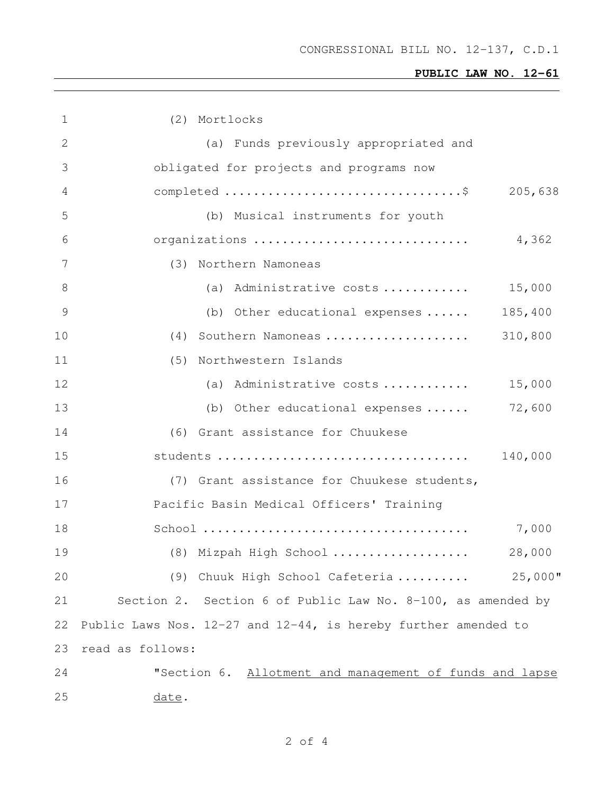| 1  | (2) Mortlocks                                                                                         |            |
|----|-------------------------------------------------------------------------------------------------------|------------|
| 2  | (a) Funds previously appropriated and                                                                 |            |
| 3  | obligated for projects and programs now                                                               |            |
| 4  |                                                                                                       | 205,638    |
| 5  | (b) Musical instruments for youth                                                                     |            |
| 6  | organizations                                                                                         | 4,362      |
| 7  | (3) Northern Namoneas                                                                                 |            |
| 8  | (a) Administrative costs                                                                              | 15,000     |
| 9  | (b) Other educational expenses                                                                        | 185,400    |
| 10 | (4) Southern Namoneas                                                                                 | 310,800    |
| 11 | (5) Northwestern Islands                                                                              |            |
| 12 | (a) Administrative costs                                                                              | 15,000     |
| 13 | (b) Other educational expenses                                                                        | 72,600     |
| 14 | (6) Grant assistance for Chuukese                                                                     |            |
| 15 |                                                                                                       | 140,000    |
| 16 | (7) Grant assistance for Chuukese students,                                                           |            |
| 17 | Pacific Basin Medical Officers' Training                                                              |            |
| 18 | $\text{School}\text{ } \dots \dots \dots \dots \dots \dots \dots \dots \dots \dots \dots \dots \dots$ | 7,000      |
| 19 | (8) Mizpah High School                                                                                | 28,000     |
| 20 | (9) Chuuk High School Cafeteria                                                                       | $25,000$ " |
| 21 | Section 2. Section 6 of Public Law No. $8-100$ , as amended by                                        |            |
| 22 | Public Laws Nos. $12-27$ and $12-44$ , is hereby further amended to                                   |            |
| 23 | read as follows:                                                                                      |            |
| 24 | "Section 6. Allotment and management of funds and lapse                                               |            |
| 25 | <u>date</u> .                                                                                         |            |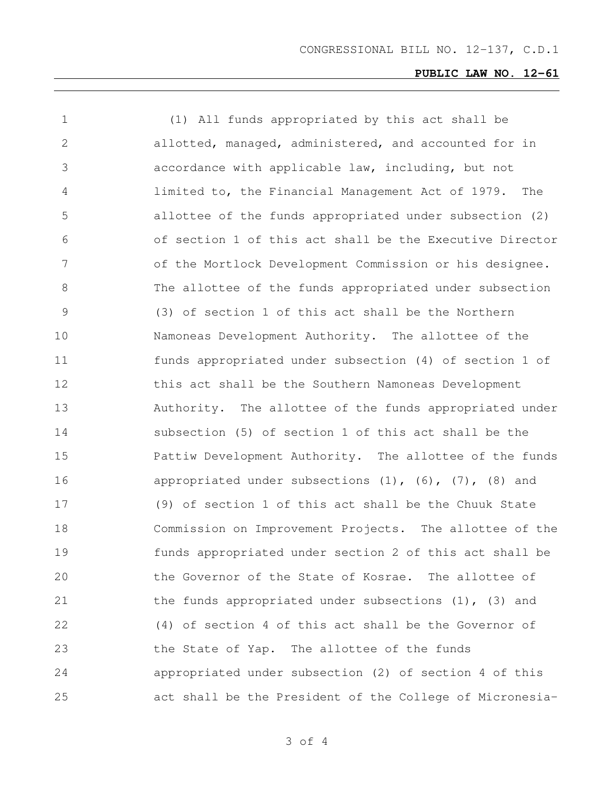| $\mathbf 1$ | (1) All funds appropriated by this act shall be                  |
|-------------|------------------------------------------------------------------|
| 2           | allotted, managed, administered, and accounted for in            |
| 3           | accordance with applicable law, including, but not               |
| 4           | limited to, the Financial Management Act of 1979. The            |
| 5           | allottee of the funds appropriated under subsection (2)          |
| 6           | of section 1 of this act shall be the Executive Director         |
| 7           | of the Mortlock Development Commission or his designee.          |
| 8           | The allottee of the funds appropriated under subsection          |
| 9           | (3) of section 1 of this act shall be the Northern               |
| 10          | Namoneas Development Authority. The allottee of the              |
| 11          | funds appropriated under subsection (4) of section 1 of          |
| 12          | this act shall be the Southern Namoneas Development              |
| 13          | Authority. The allottee of the funds appropriated under          |
| 14          | subsection (5) of section 1 of this act shall be the             |
| 15          | Pattiw Development Authority. The allottee of the funds          |
| 16          | appropriated under subsections $(1)$ , $(6)$ , $(7)$ , $(8)$ and |
| 17          | (9) of section 1 of this act shall be the Chuuk State            |
| 18          | Commission on Improvement Projects. The allottee of the          |
| 19          | funds appropriated under section 2 of this act shall be          |
| 20          | the Governor of the State of Kosrae. The allottee of             |
| 21          | the funds appropriated under subsections $(1)$ , $(3)$ and       |
| 22          | (4) of section 4 of this act shall be the Governor of            |
| 23          | the State of Yap. The allottee of the funds                      |
| 24          | appropriated under subsection (2) of section 4 of this           |
| 25          | act shall be the President of the College of Micronesia-         |

of 4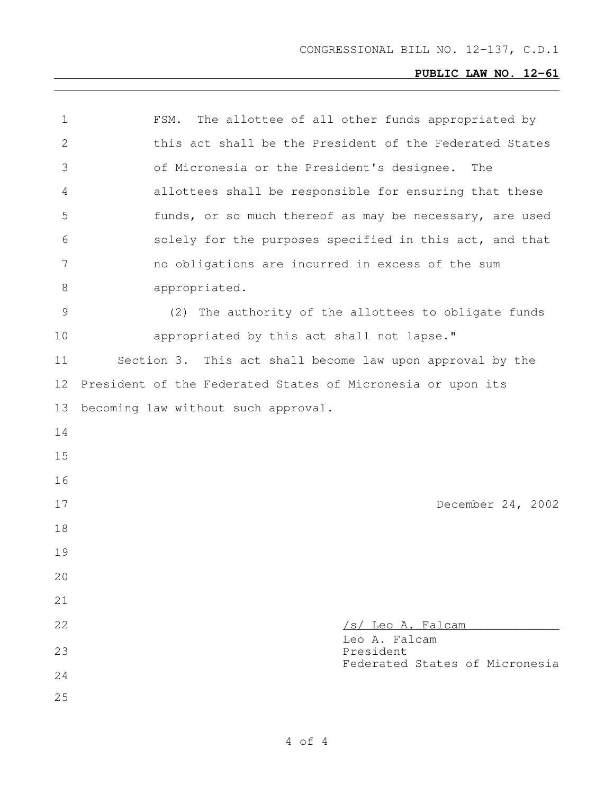| $\mathbf 1$ | The allottee of all other funds appropriated by<br>FSM.     |
|-------------|-------------------------------------------------------------|
| 2           | this act shall be the President of the Federated States     |
| 3           | of Micronesia or the President's designee.<br>The           |
| 4           | allottees shall be responsible for ensuring that these      |
| 5           | funds, or so much thereof as may be necessary, are used     |
| 6           | solely for the purposes specified in this act, and that     |
| 7           | no obligations are incurred in excess of the sum            |
| 8           | appropriated.                                               |
| 9           | (2) The authority of the allottees to obligate funds        |
| 10          | appropriated by this act shall not lapse."                  |
| 11          | Section 3. This act shall become law upon approval by the   |
| 12          | President of the Federated States of Micronesia or upon its |
| 13          | becoming law without such approval.                         |
| 14          |                                                             |
| 15          |                                                             |
| 16          |                                                             |
| 17          | December 24, 2002                                           |
| 18          |                                                             |
| 19          |                                                             |
| 20          |                                                             |
| 21          |                                                             |
| 22          | /s/ Leo A. Falcam                                           |
| 23          | Leo A. Falcam<br>President                                  |
| 24          | Federated States of Micronesia                              |
| 25          |                                                             |